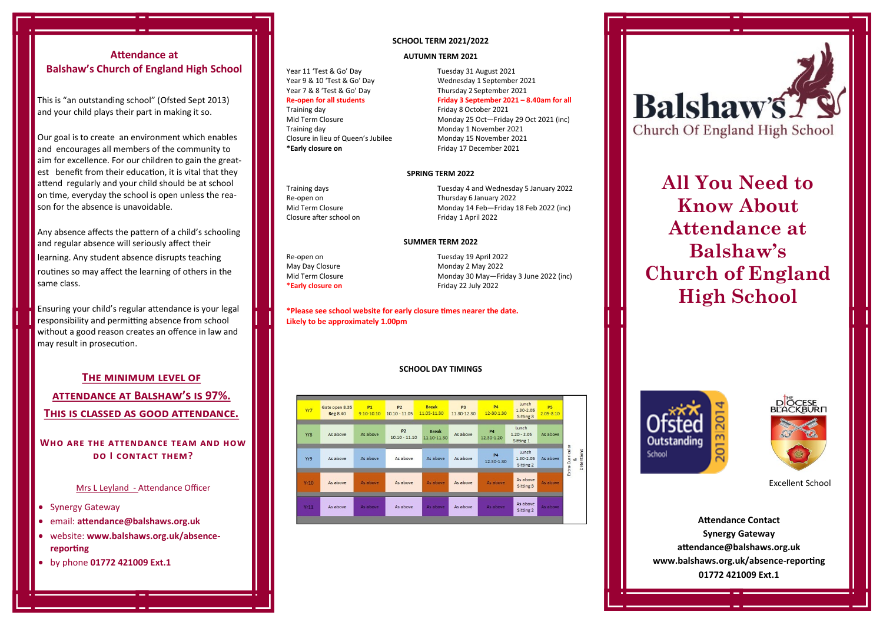# **Attendance at Balshaw's Church of England High School**

This is "an outstanding school" (Ofsted Sept 2013) and your child plays their part in making it so.

Our goal is to create an environment which enables and encourages all members of the community to est benefit from their education, it is vital that they **Sales copy is typically not**  on time, everyday the school is open unless the reason for the absence is unavoidable. aim for excellence. For our children to gain the greatattend regularly and your child should be at school

Any absence affects the pattern of a child's schooling **consectetuer adipiscing elit,**  learning. Any student absence disrupts teaching routines so may affect the learning of others in the **euismod tincidunt ut lacreet**  and regular absence will seriously affect their same class.

**dolor et accumsan.** Ensuring your child's regular attendance is your legal responsibility and permitting absence from school without a good reason creates an offence in law and may result in prosecution.

# **The minimum level of attendance at Balshaw's is 97%. This is classed as good attendance.**

## **Who are the attendance team and how do I contact them?**

Mrs L Leyland - Attendance Officer

• Synergy Gateway

• email: **attendance@balshaws.org.uk**

- website: **www.balshaws.org.uk/absencereporting**
- by phone **01772 421009 Ext.1**

#### **SCHOOL TERM 2021/2022**

#### **AUTUMN TERM 2021**

Year 11 'Test & Go' Day Tuesday 31 August 2021<br>Year 9 & 10 'Test & Go' Day Yednesday 1 Septembe **Re-open for all students Friday 3 September 2021 – 8.40am for all**

Training day **Friday 8 October 2021**<br>Mid Term Closure **Friday 8 October 2021** Closure in lieu of Queen's Jubilee<br>\*Early closure on

Year 9 & 10 'Test & Go' Day Wednesday 1 September 2021<br>Year 7 & 8 'Test & Go' Day Thursday 2 September 2021 Thursday 2 September 2021

Mid Term Closure Monday 25 Oct—Friday 29 Oct 2021 (inc)<br>Training day Monday 1 November 2021 Monday 1 November 2021<br>Monday 15 November 2021 Friday 17 December 2021

#### **SPRING TERM 2022**

Re-open on **Re-open on the COVID-S** Thursday 6 January 2022<br>Mid Term Closure **COVID-S And The COVID-S** Monday 14 Feb—Friday

Training days Tuesday 4 and Wednesday 5 January 2022 Mid Term Closure<br>
Closure after school on<br>
Friday 1 April 2022 (and Closure after school on Friday 1 April 2022

#### **SUMMER TERM 2022**

May Day Closure **Monday 2 May 2022**<br>Mid Term Closure Monday 30 May - Fr

Re-open on Tuesday 19 April 2022 Mid Term Closure Monday 30 May—Friday 3 June 2022 (inc)<br> **Exactle 2022** Friday 22 July 2022 **\*Early closure on** Friday 22 July 2022

**\*Please see school website for early closure times nearer the date. Likely to be approximately 1.00pm**

#### **SCHOOL DAY TIMINGS**

| Yr7         | Gate open 8.35<br><b>Reg 8.40</b> | <b>P1</b><br>$9.10 - 10.10$ | <b>P2</b><br>$10.10 - 11.05$      | <b>Break</b><br>11.05-11.30 | P <sub>3</sub><br>11.30-12.30 | <b>P4</b><br>12-30.1.30 | Lunch<br>1.30-2.05<br>Sitting 3     | P <sub>5</sub><br>$2.05 - 3.10$ |
|-------------|-----------------------------------|-----------------------------|-----------------------------------|-----------------------------|-------------------------------|-------------------------|-------------------------------------|---------------------------------|
| Yr8         | As above                          | As above                    | P <sub>2</sub><br>$10.10 - 11.10$ | <b>Break</b><br>11.10-11.30 | As above                      | <b>P4</b><br>12.30-1.20 | Lunch<br>$1.20 - 2.05$<br>Sitting 1 | As above                        |
| Yr9         | As above                          | As above                    | As above                          | As above                    | As above                      | <b>P4</b><br>12 30-1 30 | Lunch<br>1.30-2.05<br>Sitting 2     | As above                        |
| <b>Yr10</b> | As above                          | As above                    | As above                          | As above                    | As above                      | As above                | As above<br>Sitting 3               | As above                        |
| Yr11        | As above                          | As above                    | As above                          | As above                    | As above                      | As above                | As above<br>Sitting 2               | As above                        |



# **All You Need to Know About Attendance at Balshaw's Church of England High School**





Excellent School

**Attendance Contact Synergy Gateway attendance@balshaws.org.uk www.balshaws.org.uk/absence-reporting 01772 421009 Ext.1**